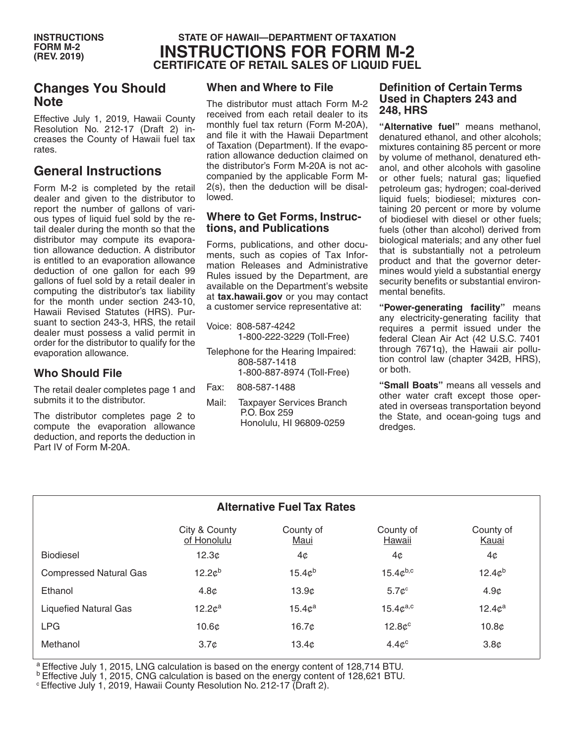### **STATE OF HAWAII—DEPARTMENT OF TAXATION INSTRUCTIONS FOR FORM M-2 CERTIFICATE OF RETAIL SALES OF LIQUID FUEL**

### **Changes You Should Note**

Effective July 1, 2019, Hawaii County Resolution No. 212-17 (Draft 2) increases the County of Hawaii fuel tax rates.

## **General Instructions**

Form M-2 is completed by the retail dealer and given to the distributor to report the number of gallons of various types of liquid fuel sold by the retail dealer during the month so that the distributor may compute its evaporation allowance deduction. A distributor is entitled to an evaporation allowance deduction of one gallon for each 99 gallons of fuel sold by a retail dealer in computing the distributor's tax liability for the month under section 243-10, Hawaii Revised Statutes (HRS). Pursuant to section 243-3, HRS, the retail dealer must possess a valid permit in order for the distributor to qualify for the evaporation allowance.

#### **Who Should File**

The retail dealer completes page 1 and submits it to the distributor.

The distributor completes page 2 to compute the evaporation allowance deduction, and reports the deduction in Part IV of Form M-20A.

### **When and Where to File**

The distributor must attach Form M-2 received from each retail dealer to its monthly fuel tax return (Form M-20A), and file it with the Hawaii Department of Taxation (Department). If the evaporation allowance deduction claimed on the distributor's Form M-20A is not accompanied by the applicable Form M-2(s), then the deduction will be disallowed.

#### **Where to Get Forms, Instructions, and Publications**

Forms, publications, and other documents, such as copies of Tax Information Releases and Administrative Rules issued by the Department, are available on the Department's website at **tax.hawaii.gov** or you may contact a customer service representative at:

- Voice: 808-587-4242 1-800-222-3229 (Toll-Free)
- Telephone for the Hearing Impaired: 808-587-1418 1-800-887-8974 (Toll-Free)
- Fax: 808-587-1488
- Mail: Taxpayer Services Branch P.O. Box 259 Honolulu, HI 96809-0259

#### **Definition of Certain Terms Used in Chapters 243 and 248, HRS**

**"Alternative fuel"** means methanol, denatured ethanol, and other alcohols; mixtures containing 85 percent or more by volume of methanol, denatured ethanol, and other alcohols with gasoline or other fuels; natural gas; liquefied petroleum gas; hydrogen; coal-derived liquid fuels; biodiesel; mixtures containing 20 percent or more by volume of biodiesel with diesel or other fuels; fuels (other than alcohol) derived from biological materials; and any other fuel that is substantially not a petroleum product and that the governor determines would yield a substantial energy security benefits or substantial environmental benefits.

**"Power-generating facility"** means any electricity-generating facility that requires a permit issued under the federal Clean Air Act (42 U.S.C. 7401 through 7671q), the Hawaii air pollution control law (chapter 342B, HRS), or both.

**"Small Boats"** means all vessels and other water craft except those operated in overseas transportation beyond the State, and ocean-going tugs and dredges.

| <b>Alternative Fuel Tax Rates</b> |                              |                    |                     |                    |
|-----------------------------------|------------------------------|--------------------|---------------------|--------------------|
|                                   | City & County<br>of Honolulu | County of<br>Maui  | County of<br>Hawaii | County of<br>Kauai |
| <b>Biodiesel</b>                  | 12.3 <sub>c</sub>            | 4¢                 | 4¢                  | 4¢                 |
| <b>Compressed Natural Gas</b>     | 12.2c <sup>b</sup>           | $15.4c^{b}$        | $15.4c^{b,c}$       | 12.4c <sup>b</sup> |
| Ethanol                           | 4.8 <sub>c</sub>             | 13.9c              | $5.7c$ <sup>c</sup> | 4.9 <sub>c</sub>   |
| <b>Liquefied Natural Gas</b>      | 12.2c <sup>a</sup>           | 15.4c <sup>a</sup> | $15.4c^{a,c}$       | 12.4c <sup>a</sup> |
| <b>LPG</b>                        | 10.6 <sub>c</sub>            | 16.7c              | $12.8c^c$           | 10.8 <sub>c</sub>  |
| Methanol                          | 3.7 <sub>c</sub>             | 13.4 <sub>c</sub>  | $4.4c^c$            | 3.8 <sub>c</sub>   |
|                                   |                              |                    |                     |                    |

a Effective July 1, 2015, LNG calculation is based on the energy content of 128,714 BTU.

**b Effective July 1, 2015, CNG calculation is based on the energy content of 128,621 BTU.** 

c Effective July 1, 2019, Hawaii County Resolution No. 212-17 (Draft 2).